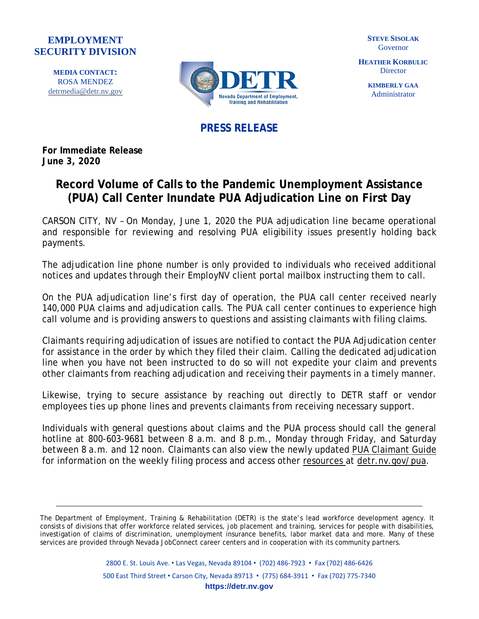## **EMPLOYMENT SECURITY DIVISION**

**MEDIA CONTACT:** ROSA MENDEZ [detrmedia@detr.nv.gov](mailto:detrmedia@detr.nv.gov)



**STEVE SISOLAK** Governor

**HEATHER KORBULIC Director** 

> **KIMBERLY GAA** Administrator

**PRESS RELEASE**

**For Immediate Release June 3, 2020**

## **Record Volume of Calls to the Pandemic Unemployment Assistance (PUA) Call Center Inundate PUA Adjudication Line on First Day**

CARSON CITY, NV – On Monday, June 1, 2020 the PUA adjudication line became operational and responsible for reviewing and resolving PUA eligibility issues presently holding back payments.

The adjudication line phone number is only provided to individuals who received additional notices and updates through their EmployNV client portal mailbox instructing them to call.

On the PUA adjudication line's first day of operation, the PUA call center received nearly 140,000 PUA claims and adjudication calls. The PUA call center continues to experience high call volume and is providing answers to questions and assisting claimants with filing claims.

Claimants requiring adjudication of issues are notified to contact the PUA Adjudication center for assistance in the order by which they filed their claim. Calling the dedicated adjudication line when you have not been instructed to do so will not expedite your claim and prevents other claimants from reaching adjudication and receiving their payments in a timely manner.

Likewise, trying to secure assistance by reaching out directly to DETR staff or vendor employees ties up phone lines and prevents claimants from receiving necessary support.

Individuals with general questions about claims and the PUA process should call the general hotline at 800-603-9681 between 8 a.m. and 8 p.m., Monday through Friday, and Saturday between 8 a.m. and 12 noon. Claimants can also view the newly updated PUA [Claimant](https://cms.detr.nv.gov/Content/Media/Pandemic_Unemployment_Assistance_(PUA)_Portal_Claimants_Guide_v3.pdf) Guide for information on the weekly filing process and access other [resources](https://cms.detr.nv.gov/Content/Media/PUA_FAQs-1.0.pdf) at [detr.nv.gov/pua.](https://detr.nv.gov/Page/Pandemic_Unemployment_Assistance(PUA))

The Department of Employment, Training & Rehabilitation (DETR) is the state's lead workforce development agency. It consists of divisions that offer workforce related services, job placement and training, services for people with disabilities, investigation of claims of discrimination, unemployment insurance benefits, labor market data and more. Many of these services are provided through Nevada JobConnect career centers and in cooperation with its community partners.